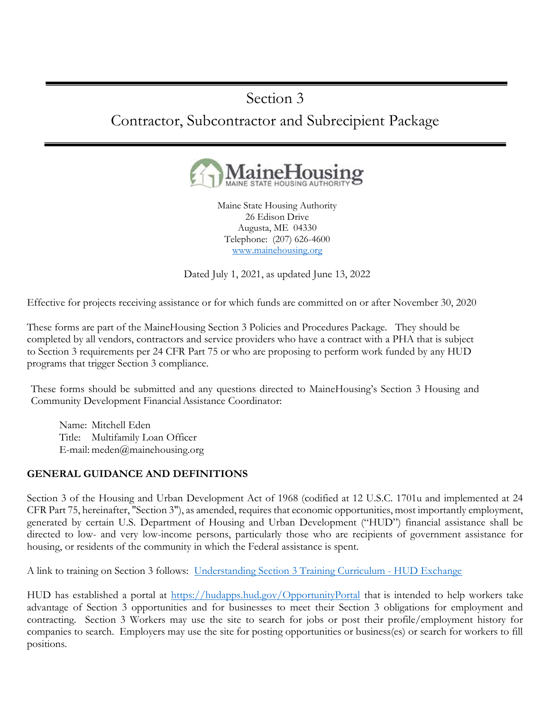# Section 3

# Contractor, Subcontractor and Subrecipient Package



Maine State Housing Authority 26 Edison Drive Augusta, ME 04330 Telephone: (207) 626-4600 www.mainehousing.org

Dated July 1, 2021, as updated June 13, 2022

Effective for projects receiving assistance or for which funds are committed on or after November 30, 2020

These forms are part of the MaineHousing Section 3 Policies and Procedures Package. They should be completed by all vendors, contractors and service providers who have a contract with a PHA that is subject to Section 3 requirements per 24 CFR Part 75 or who are proposing to perform work funded by any HUD programs that trigger Section 3 compliance.

These forms should be submitted and any questions directed to MaineHousing's Section 3 Housing and Community Development Financial Assistance Coordinator:

Name: Mitchell Eden Title: Multifamily Loan Officer E-mail: meden@mainehousing.org

### GENERAL GUIDANCE AND DEFINITIONS

Section 3 of the Housing and Urban Development Act of 1968 (codified at 12 U.S.C. 1701u and implemented at 24 CFR Part 75, hereinafter, "Section 3"), as amended, requires that economic opportunities, most importantly employment, generated by certain U.S. Department of Housing and Urban Development ("HUD") financial assistance shall be directed to low- and very low-income persons, particularly those who are recipients of government assistance for housing, or residents of the community in which the Federal assistance is spent.

A link to training on Section 3 follows: Understanding Section 3 Training Curriculum - HUD Exchange

HUD has established a portal at https://hudapps.hud.gov/OpportunityPortal that is intended to help workers take advantage of Section 3 opportunities and for businesses to meet their Section 3 obligations for employment and contracting. Section 3 Workers may use the site to search for jobs or post their profile/employment history for companies to search. Employers may use the site for posting opportunities or business(es) or search for workers to fill positions.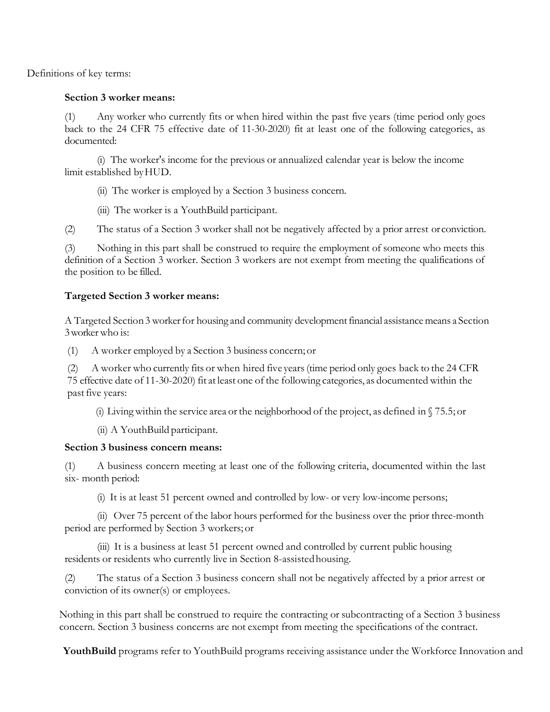Definitions of key terms:

#### Section 3 worker means:

(1) Any worker who currently fits or when hired within the past five years (time period only goes back to the 24 CFR 75 effective date of 11-30-2020) fit at least one of the following categories, as documented:

(i) The worker's income for the previous or annualized calendar year is below the income limit established by HUD.

(ii) The worker is employed by a Section 3 business concern.

(iii) The worker is a YouthBuild participant.

(2) The status of a Section 3 worker shall not be negatively affected by a prior arrest or conviction.

(3) Nothing in this part shall be construed to require the employment of someone who meets this definition of a Section 3 worker. Section 3 workers are not exempt from meeting the qualifications of the position to be filled.

#### Targeted Section 3 worker means:

A Targeted Section 3 worker for housing and community development financial assistance means a Section 3 worker who is:

(1) A worker employed by a Section 3 business concern; or

(2) A worker who currently fits or when hired five years (time period only goes back to the 24 CFR 75 effective date of 11-30-2020) fit at least one of the following categories, as documented within the past five years:

(i) Living within the service area or the neighborhood of the project, as defined in  $\sqrt{75.5}$ ; or

(ii) A YouthBuild participant.

#### Section 3 business concern means:

(1) A business concern meeting at least one of the following criteria, documented within the last six- month period:

(i) It is at least 51 percent owned and controlled by low- or very low-income persons;

(ii) Over 75 percent of the labor hours performed for the business over the prior three-month period are performed by Section 3 workers; or

(iii) It is a business at least 51 percent owned and controlled by current public housing residents or residents who currently live in Section 8-assisted housing.

(2) The status of a Section 3 business concern shall not be negatively affected by a prior arrest or conviction of its owner(s) or employees.

Nothing in this part shall be construed to require the contracting or subcontracting of a Section 3 business concern. Section 3 business concerns are not exempt from meeting the specifications of the contract.

YouthBuild programs refer to YouthBuild programs receiving assistance under the Workforce Innovation and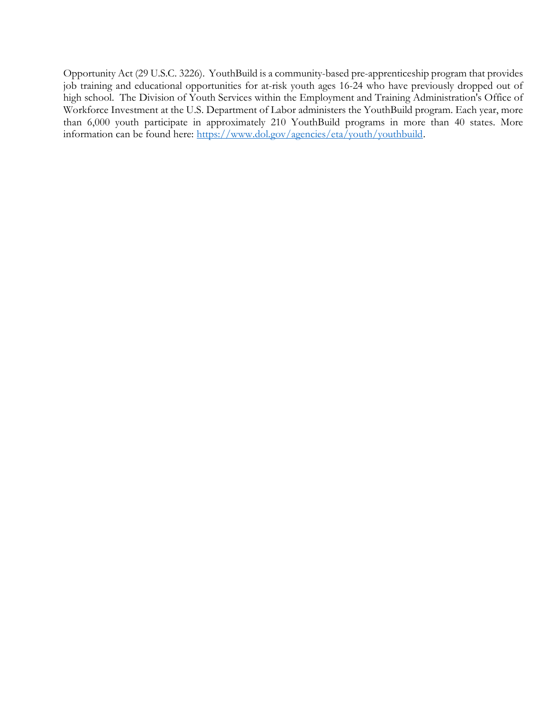Opportunity Act (29 U.S.C. 3226). YouthBuild is a community-based pre-apprenticeship program that provides job training and educational opportunities for at-risk youth ages 16-24 who have previously dropped out of high school. The Division of Youth Services within the Employment and Training Administration's Office of Workforce Investment at the U.S. Department of Labor administers the YouthBuild program. Each year, more than 6,000 youth participate in approximately 210 YouthBuild programs in more than 40 states. More information can be found here: https://www.dol.gov/agencies/eta/youth/youthbuild.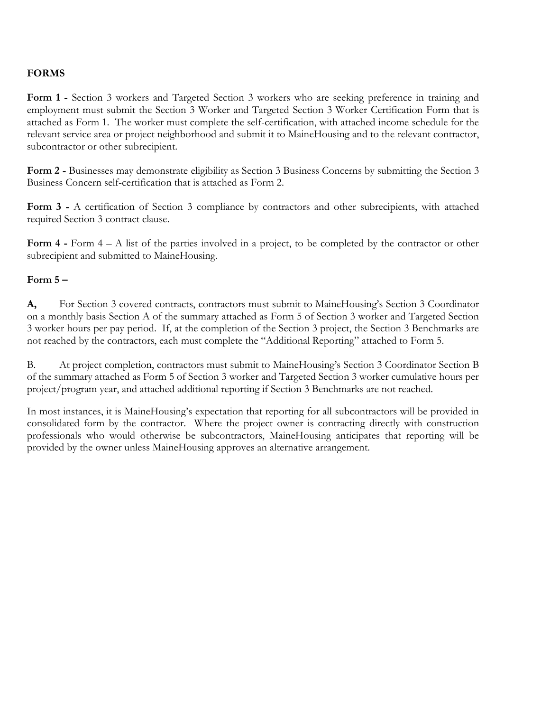## FORMS

Form 1 - Section 3 workers and Targeted Section 3 workers who are seeking preference in training and employment must submit the Section 3 Worker and Targeted Section 3 Worker Certification Form that is attached as Form 1. The worker must complete the self-certification, with attached income schedule for the relevant service area or project neighborhood and submit it to MaineHousing and to the relevant contractor, subcontractor or other subrecipient.

Form 2 - Businesses may demonstrate eligibility as Section 3 Business Concerns by submitting the Section 3 Business Concern self-certification that is attached as Form 2.

Form 3 - A certification of Section 3 compliance by contractors and other subrecipients, with attached required Section 3 contract clause.

Form  $4$  - Form  $4 - A$  list of the parties involved in a project, to be completed by the contractor or other subrecipient and submitted to MaineHousing.

#### Form  $5-$

A, For Section 3 covered contracts, contractors must submit to MaineHousing's Section 3 Coordinator on a monthly basis Section A of the summary attached as Form 5 of Section 3 worker and Targeted Section 3 worker hours per pay period. If, at the completion of the Section 3 project, the Section 3 Benchmarks are not reached by the contractors, each must complete the "Additional Reporting" attached to Form 5.

B. At project completion, contractors must submit to MaineHousing's Section 3 Coordinator Section B of the summary attached as Form 5 of Section 3 worker and Targeted Section 3 worker cumulative hours per project/program year, and attached additional reporting if Section 3 Benchmarks are not reached.

In most instances, it is MaineHousing's expectation that reporting for all subcontractors will be provided in consolidated form by the contractor. Where the project owner is contracting directly with construction professionals who would otherwise be subcontractors, MaineHousing anticipates that reporting will be provided by the owner unless MaineHousing approves an alternative arrangement.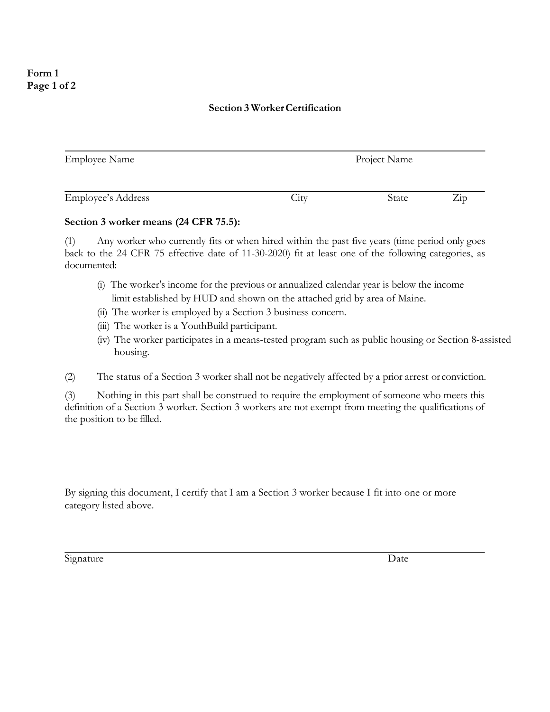## Form 1 Page 1 of 2

#### Section 3 Worker Certification

| <b>Employee Name</b>      |      | Project Name |                |
|---------------------------|------|--------------|----------------|
| <b>Employee's Address</b> | City | State        | $\mathsf{Zip}$ |

#### Section 3 worker means (24 CFR 75.5):

(1) Any worker who currently fits or when hired within the past five years (time period only goes back to the 24 CFR 75 effective date of 11-30-2020) fit at least one of the following categories, as documented:

- (i) The worker's income for the previous or annualized calendar year is below the income limit established by HUD and shown on the attached grid by area of Maine.
- (ii) The worker is employed by a Section 3 business concern.
- (iii) The worker is a YouthBuild participant.
- (iv) The worker participates in a means-tested program such as public housing or Section 8-assisted housing.

(2) The status of a Section 3 worker shall not be negatively affected by a prior arrest or conviction.

(3) Nothing in this part shall be construed to require the employment of someone who meets this definition of a Section 3 worker. Section 3 workers are not exempt from meeting the qualifications of the position to be filled.

By signing this document, I certify that I am a Section 3 worker because I fit into one or more category listed above.

Signature Date Date Date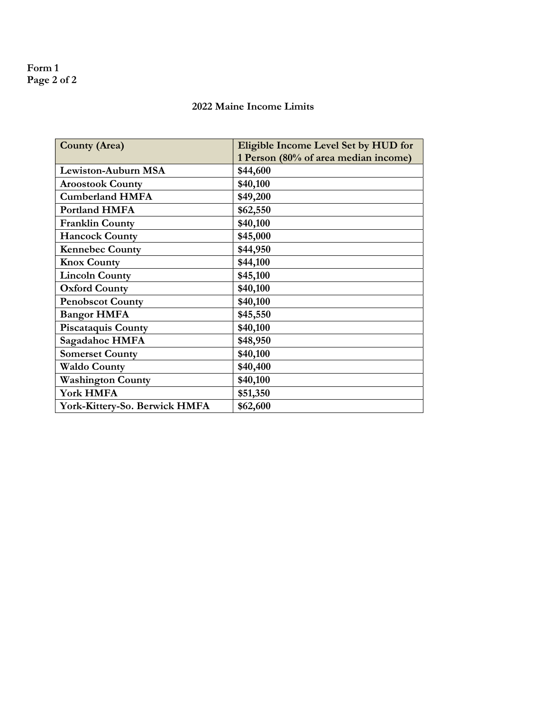## Form 1 Page 2 of 2

## 2022 Maine Income Limits

| <b>County (Area)</b>          | Eligible Income Level Set by HUD for<br>1 Person (80% of area median income) |
|-------------------------------|------------------------------------------------------------------------------|
| Lewiston-Auburn MSA           | \$44,600                                                                     |
| <b>Aroostook County</b>       | \$40,100                                                                     |
| <b>Cumberland HMFA</b>        | \$49,200                                                                     |
| <b>Portland HMFA</b>          | \$62,550                                                                     |
| <b>Franklin County</b>        | \$40,100                                                                     |
| <b>Hancock County</b>         | \$45,000                                                                     |
| <b>Kennebec County</b>        | \$44,950                                                                     |
| <b>Knox County</b>            | \$44,100                                                                     |
| <b>Lincoln County</b>         | \$45,100                                                                     |
| <b>Oxford County</b>          | \$40,100                                                                     |
| <b>Penobscot County</b>       | \$40,100                                                                     |
| <b>Bangor HMFA</b>            | \$45,550                                                                     |
| <b>Piscataquis County</b>     | \$40,100                                                                     |
| Sagadahoc HMFA                | \$48,950                                                                     |
| <b>Somerset County</b>        | \$40,100                                                                     |
| <b>Waldo County</b>           | \$40,400                                                                     |
| <b>Washington County</b>      | \$40,100                                                                     |
| York HMFA                     | \$51,350                                                                     |
| York-Kittery-So. Berwick HMFA | \$62,600                                                                     |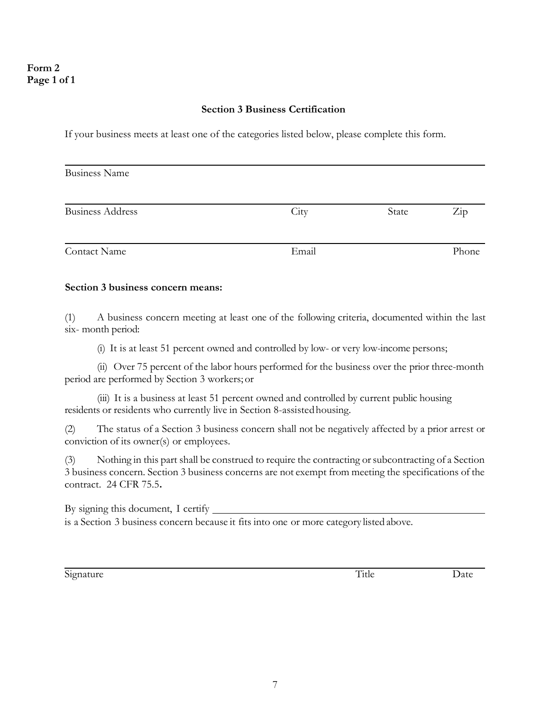#### Section 3 Business Certification

If your business meets at least one of the categories listed below, please complete this form.

| <b>Business Name</b>    |       |       |                  |
|-------------------------|-------|-------|------------------|
| <b>Business Address</b> | City  | State | $\overline{Zip}$ |
| Contact Name            | Email |       | Phone            |

#### Section 3 business concern means:

(1) A business concern meeting at least one of the following criteria, documented within the last six- month period:

(i) It is at least 51 percent owned and controlled by low- or very low-income persons;

(ii) Over 75 percent of the labor hours performed for the business over the prior three-month period are performed by Section 3 workers; or

(iii) It is a business at least 51 percent owned and controlled by current public housing residents or residents who currently live in Section 8-assisted housing.

(2) The status of a Section 3 business concern shall not be negatively affected by a prior arrest or conviction of its owner(s) or employees.

(3) Nothing in this part shall be construed to require the contracting or subcontracting of a Section 3 business concern. Section 3 business concerns are not exempt from meeting the specifications of the contract. 24 CFR 75.5.

By signing this document, I certify is a Section 3 business concern because it fits into one or more category listed above.

Signature Date Date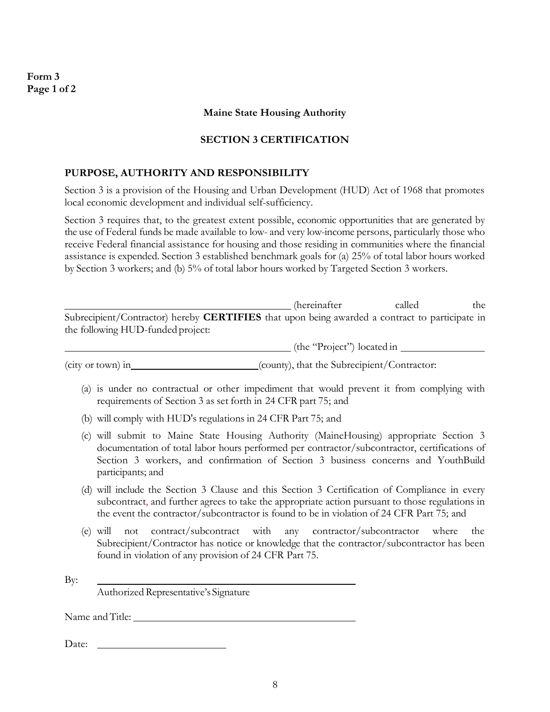Form 3 Page 1 of 2

#### Maine State Housing Authority

#### SECTION 3 CERTIFICATION

#### PURPOSE, AUTHORITY AND RESPONSIBILITY

Section 3 is a provision of the Housing and Urban Development (HUD) Act of 1968 that promotes local economic development and individual self-sufficiency.

Section 3 requires that, to the greatest extent possible, economic opportunities that are generated by the use of Federal funds be made available to low- and very low-income persons, particularly those who receive Federal financial assistance for housing and those residing in communities where the financial assistance is expended. Section 3 established benchmark goals for (a) 25% of total labor hours worked by Section 3 workers; and (b) 5% of total labor hours worked by Targeted Section 3 workers.

|                                                                                                                                                                                          | <i>(hereinafter)</i>                        | called | the |
|------------------------------------------------------------------------------------------------------------------------------------------------------------------------------------------|---------------------------------------------|--------|-----|
| Subrecipient/Contractor) hereby <b>CERTIFIES</b> that upon being awarded a contract to participate in<br>the following HUD-funded project:                                               |                                             |        |     |
|                                                                                                                                                                                          | (the "Project") located in _____            |        |     |
| (city or town) in                                                                                                                                                                        | (county), that the Subrecipient/Contractor: |        |     |
| (a) is under no contractual or other impediment that would prevent it from complying with<br>requirements of Section 3 as set forth in 24 CFR part 75; and                               |                                             |        |     |
| (b) will comply with HUD's regulations in 24 CFR Part 75; and                                                                                                                            |                                             |        |     |
| will submit to Maine State Housing Authority (MaineHousing) appropriate Section 3<br>(C)<br>documentation of total labor hours performed per contractor/subcontractor, certifications of |                                             |        |     |

- documentation of total labor hours performed per contractor/subcontractor, certifications of Section 3 workers, and confirmation of Section 3 business concerns and YouthBuild participants; and
- (d) will include the Section 3 Clause and this Section 3 Certification of Compliance in every subcontract, and further agrees to take the appropriate action pursuant to those regulations in the event the contractor/subcontractor is found to be in violation of 24 CFR Part 75; and
- (e) will not contract/subcontract with any contractor/subcontractor where the Subrecipient/Contractor has notice or knowledge that the contractor/subcontractor has been found in violation of any provision of 24 CFR Part 75.

By:

Authorized Representative's Signature

Name and Title:

Date: \_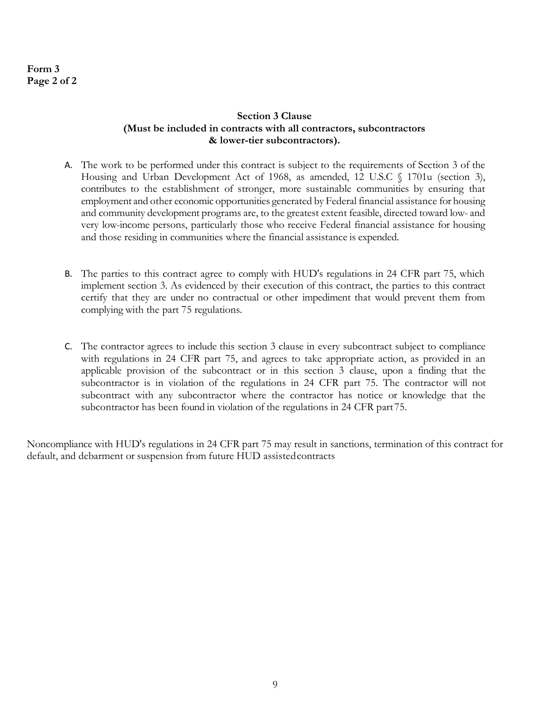## Form 3 Page 2 of 2

#### Section 3 Clause (Must be included in contracts with all contractors, subcontractors & lower-tier subcontractors).

- A. The work to be performed under this contract is subject to the requirements of Section 3 of the Housing and Urban Development Act of 1968, as amended, 12 U.S.C § 1701u (section 3), contributes to the establishment of stronger, more sustainable communities by ensuring that employment and other economic opportunities generated by Federal financial assistance for housing and community development programs are, to the greatest extent feasible, directed toward low- and very low-income persons, particularly those who receive Federal financial assistance for housing and those residing in communities where the financial assistance is expended.
- B. The parties to this contract agree to comply with HUD's regulations in 24 CFR part 75, which implement section 3. As evidenced by their execution of this contract, the parties to this contract certify that they are under no contractual or other impediment that would prevent them from complying with the part 75 regulations.
- C. The contractor agrees to include this section 3 clause in every subcontract subject to compliance with regulations in 24 CFR part 75, and agrees to take appropriate action, as provided in an applicable provision of the subcontract or in this section 3 clause, upon a finding that the subcontractor is in violation of the regulations in 24 CFR part 75. The contractor will not subcontract with any subcontractor where the contractor has notice or knowledge that the subcontractor has been found in violation of the regulations in 24 CFR part 75.

Noncompliance with HUD's regulations in 24 CFR part 75 may result in sanctions, termination of this contract for default, and debarment or suspension from future HUD assisted contracts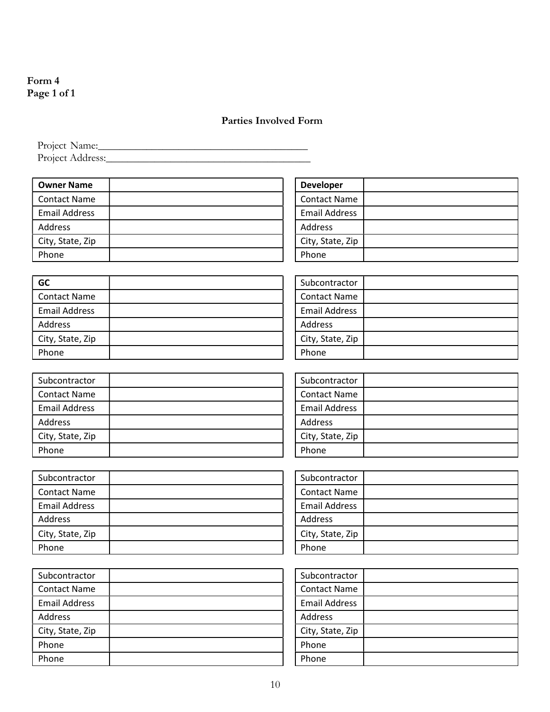## Form 4 Page 1 of 1

## Parties Involved Form

Project Name:\_\_\_\_\_\_\_\_\_\_\_\_\_\_\_\_\_\_\_\_\_\_\_\_\_\_\_\_\_\_\_\_\_\_\_\_\_\_\_ Project Address:\_\_\_\_\_\_\_\_\_\_\_\_\_\_\_\_\_\_\_\_\_\_\_\_\_\_\_\_\_\_\_\_\_\_\_\_\_\_

| <b>Owner Name</b>    |  |
|----------------------|--|
| <b>Contact Name</b>  |  |
| <b>Email Address</b> |  |
| Address              |  |
| City, State, Zip     |  |
| Phone                |  |

| <b>Developer</b>     |  |
|----------------------|--|
| <b>Contact Name</b>  |  |
| <b>Email Address</b> |  |
| Address              |  |
| City, State, Zip     |  |
| Phone                |  |

| GC                   |  |
|----------------------|--|
| l Contact Name       |  |
| <b>Email Address</b> |  |
| Address              |  |
| City, State, Zip     |  |
| Phone                |  |

| Subcontractor        |  |
|----------------------|--|
| <b>Contact Name</b>  |  |
| <b>Email Address</b> |  |
| Address              |  |
| City, State, Zip     |  |
| Phone                |  |

| Subcontractor        |  |
|----------------------|--|
| <b>Contact Name</b>  |  |
| <b>Email Address</b> |  |
| <b>Address</b>       |  |
| City, State, Zip     |  |
| Phone                |  |

| Subcontractor        |  |
|----------------------|--|
| <b>Contact Name</b>  |  |
| <b>Email Address</b> |  |
| Address              |  |
| City, State, Zip     |  |
| Phone                |  |

| Subcontractor        |  |
|----------------------|--|
| <b>Contact Name</b>  |  |
| <b>Email Address</b> |  |
| Address              |  |
| City, State, Zip     |  |
| Phone                |  |

| Subcontractor        |  |
|----------------------|--|
| <b>Contact Name</b>  |  |
| <b>Email Address</b> |  |
| Address              |  |
| City, State, Zip     |  |
| Phone                |  |

| Subcontractor        |  |
|----------------------|--|
| <b>Contact Name</b>  |  |
| <b>Email Address</b> |  |
| <b>Address</b>       |  |
| City, State, Zip     |  |
| Phone                |  |
| 'hone                |  |

| Subcontractor        |  |
|----------------------|--|
| <b>Contact Name</b>  |  |
| <b>Email Address</b> |  |
| Address              |  |
| City, State, Zip     |  |
| Phone                |  |
| Phone                |  |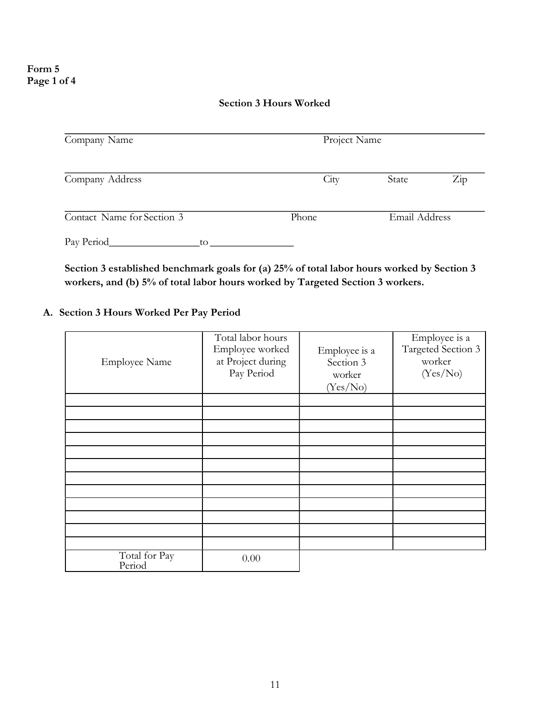#### Section 3 Hours Worked

| Company Name               |       | Project Name  |                  |  |
|----------------------------|-------|---------------|------------------|--|
| Company Address            | City  | State         | $\overline{Zip}$ |  |
| Contact Name for Section 3 | Phone | Email Address |                  |  |
| Pay Period<br>to           |       |               |                  |  |

Section 3 established benchmark goals for (a) 25% of total labor hours worked by Section 3 workers, and (b) 5% of total labor hours worked by Targeted Section 3 workers.

## A. Section 3 Hours Worked Per Pay Period

| <b>Employee Name</b>    | Total labor hours<br>Employee worked<br>at Project during<br>Pay Period | Employee is a<br>Section 3<br>worker<br>(Yes/No) | Employee is $\overline{a}$<br>Targeted Section 3<br>worker<br>(Yes/No) |
|-------------------------|-------------------------------------------------------------------------|--------------------------------------------------|------------------------------------------------------------------------|
|                         |                                                                         |                                                  |                                                                        |
|                         |                                                                         |                                                  |                                                                        |
|                         |                                                                         |                                                  |                                                                        |
|                         |                                                                         |                                                  |                                                                        |
|                         |                                                                         |                                                  |                                                                        |
|                         |                                                                         |                                                  |                                                                        |
|                         |                                                                         |                                                  |                                                                        |
|                         |                                                                         |                                                  |                                                                        |
|                         |                                                                         |                                                  |                                                                        |
|                         |                                                                         |                                                  |                                                                        |
|                         |                                                                         |                                                  |                                                                        |
|                         |                                                                         |                                                  |                                                                        |
| Total for Pay<br>Period | 0.00                                                                    |                                                  |                                                                        |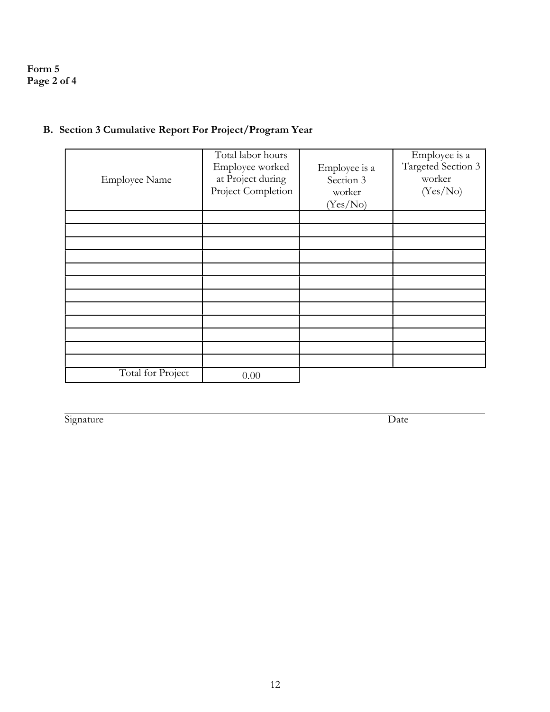## Form 5 Page 2 of 4

| <b>Employee Name</b> | Total labor hours<br>Employee worked<br>at Project during<br>Project Completion | Employee is a<br>Section 3<br>worker<br>(Yes/No) | Employee is a<br>Targeted Section 3<br>worker<br>(Yes/No) |
|----------------------|---------------------------------------------------------------------------------|--------------------------------------------------|-----------------------------------------------------------|
|                      |                                                                                 |                                                  |                                                           |
|                      |                                                                                 |                                                  |                                                           |
|                      |                                                                                 |                                                  |                                                           |
|                      |                                                                                 |                                                  |                                                           |
|                      |                                                                                 |                                                  |                                                           |
|                      |                                                                                 |                                                  |                                                           |
|                      |                                                                                 |                                                  |                                                           |
|                      |                                                                                 |                                                  |                                                           |
|                      |                                                                                 |                                                  |                                                           |
|                      |                                                                                 |                                                  |                                                           |
|                      |                                                                                 |                                                  |                                                           |
|                      |                                                                                 |                                                  |                                                           |
| Total for Project    | 0.00                                                                            |                                                  |                                                           |

## B. Section 3 Cumulative Report For Project/Program Year

Signature Date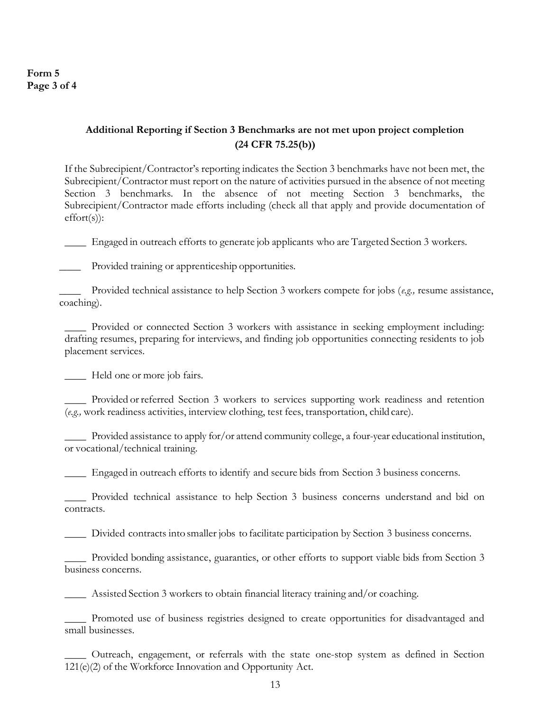Form 5 Page 3 of 4

## Additional Reporting if Section 3 Benchmarks are not met upon project completion (24 CFR 75.25(b))

If the Subrecipient/Contractor's reporting indicates the Section 3 benchmarks have not been met, the Subrecipient/Contractor must report on the nature of activities pursued in the absence of not meeting Section 3 benchmarks. In the absence of not meeting Section 3 benchmarks, the Subrecipient/Contractor made efforts including (check all that apply and provide documentation of effort(s)):

\_\_\_\_ Engaged in outreach efforts to generate job applicants who are Targeted Section 3 workers.

\_\_\_\_ Provided training or apprenticeship opportunities.

\_\_\_\_ Provided technical assistance to help Section 3 workers compete for jobs (e.g., resume assistance, coaching).

\_\_\_\_ Provided or connected Section 3 workers with assistance in seeking employment including: drafting resumes, preparing for interviews, and finding job opportunities connecting residents to job placement services.

\_\_\_\_ Held one or more job fairs.

\_\_\_\_ Provided or referred Section 3 workers to services supporting work readiness and retention (e.g., work readiness activities, interview clothing, test fees, transportation, child care).

\_\_\_\_ Provided assistance to apply for/or attend community college, a four-year educational institution, or vocational/technical training.

\_\_\_\_ Engaged in outreach efforts to identify and secure bids from Section 3 business concerns.

\_\_\_\_ Provided technical assistance to help Section 3 business concerns understand and bid on contracts.

\_\_\_\_ Divided contracts into smaller jobs to facilitate participation by Section 3 business concerns.

\_\_\_\_ Provided bonding assistance, guaranties, or other efforts to support viable bids from Section 3 business concerns.

\_\_\_\_ Assisted Section 3 workers to obtain financial literacy training and/or coaching.

\_\_\_\_ Promoted use of business registries designed to create opportunities for disadvantaged and small businesses.

\_\_\_\_ Outreach, engagement, or referrals with the state one-stop system as defined in Section 121(e)(2) of the Workforce Innovation and Opportunity Act.